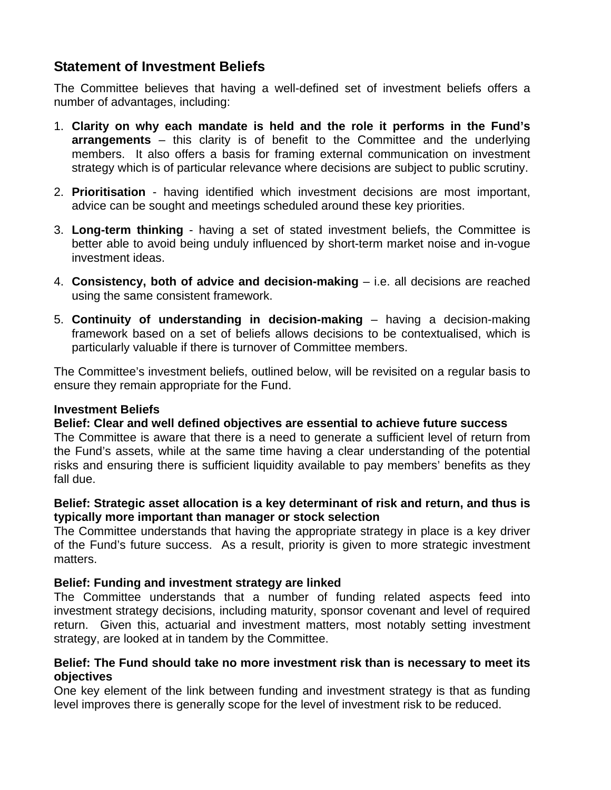# **Statement of Investment Beliefs**

The Committee believes that having a well-defined set of investment beliefs offers a number of advantages, including:

- 1. **Clarity on why each mandate is held and the role it performs in the Fund's arrangements** – this clarity is of benefit to the Committee and the underlying members. It also offers a basis for framing external communication on investment strategy which is of particular relevance where decisions are subject to public scrutiny.
- 2. **Prioritisation** having identified which investment decisions are most important, advice can be sought and meetings scheduled around these key priorities.
- 3. **Long-term thinking** having a set of stated investment beliefs, the Committee is better able to avoid being unduly influenced by short-term market noise and in-vogue investment ideas.
- 4. **Consistency, both of advice and decision-making** i.e. all decisions are reached using the same consistent framework.
- 5. **Continuity of understanding in decision-making** having a decision-making framework based on a set of beliefs allows decisions to be contextualised, which is particularly valuable if there is turnover of Committee members.

The Committee's investment beliefs, outlined below, will be revisited on a regular basis to ensure they remain appropriate for the Fund.

### **Investment Beliefs**

### **Belief: Clear and well defined objectives are essential to achieve future success**

The Committee is aware that there is a need to generate a sufficient level of return from the Fund's assets, while at the same time having a clear understanding of the potential risks and ensuring there is sufficient liquidity available to pay members' benefits as they fall due.

# **Belief: Strategic asset allocation is a key determinant of risk and return, and thus is typically more important than manager or stock selection**

The Committee understands that having the appropriate strategy in place is a key driver of the Fund's future success. As a result, priority is given to more strategic investment matters.

### **Belief: Funding and investment strategy are linked**

The Committee understands that a number of funding related aspects feed into investment strategy decisions, including maturity, sponsor covenant and level of required return. Given this, actuarial and investment matters, most notably setting investment strategy, are looked at in tandem by the Committee.

### **Belief: The Fund should take no more investment risk than is necessary to meet its objectives**

One key element of the link between funding and investment strategy is that as funding level improves there is generally scope for the level of investment risk to be reduced.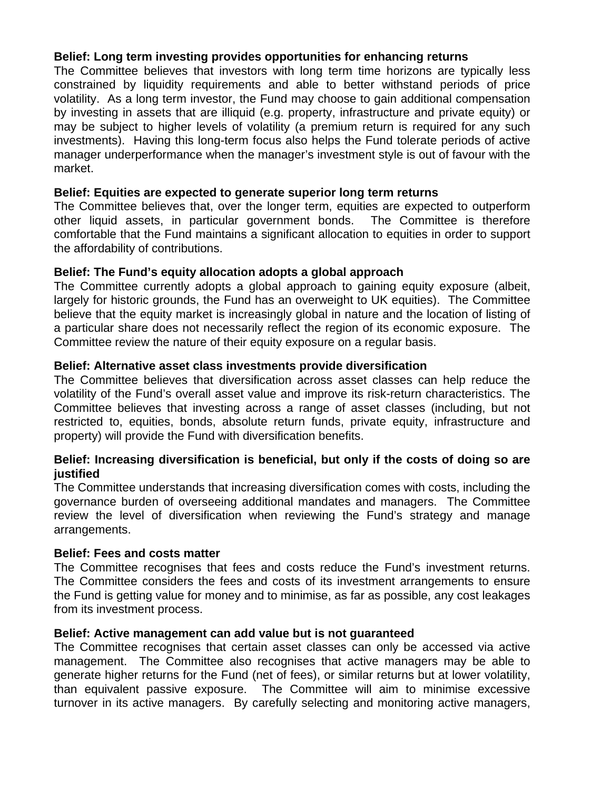# **Belief: Long term investing provides opportunities for enhancing returns**

The Committee believes that investors with long term time horizons are typically less constrained by liquidity requirements and able to better withstand periods of price volatility. As a long term investor, the Fund may choose to gain additional compensation by investing in assets that are illiquid (e.g. property, infrastructure and private equity) or may be subject to higher levels of volatility (a premium return is required for any such investments). Having this long-term focus also helps the Fund tolerate periods of active manager underperformance when the manager's investment style is out of favour with the market.

### **Belief: Equities are expected to generate superior long term returns**

The Committee believes that, over the longer term, equities are expected to outperform other liquid assets, in particular government bonds. The Committee is therefore comfortable that the Fund maintains a significant allocation to equities in order to support the affordability of contributions.

# **Belief: The Fund's equity allocation adopts a global approach**

The Committee currently adopts a global approach to gaining equity exposure (albeit, largely for historic grounds, the Fund has an overweight to UK equities). The Committee believe that the equity market is increasingly global in nature and the location of listing of a particular share does not necessarily reflect the region of its economic exposure. The Committee review the nature of their equity exposure on a regular basis.

# **Belief: Alternative asset class investments provide diversification**

The Committee believes that diversification across asset classes can help reduce the volatility of the Fund's overall asset value and improve its risk-return characteristics. The Committee believes that investing across a range of asset classes (including, but not restricted to, equities, bonds, absolute return funds, private equity, infrastructure and property) will provide the Fund with diversification benefits.

### **Belief: Increasing diversification is beneficial, but only if the costs of doing so are justified**

The Committee understands that increasing diversification comes with costs, including the governance burden of overseeing additional mandates and managers. The Committee review the level of diversification when reviewing the Fund's strategy and manage arrangements.

### **Belief: Fees and costs matter**

The Committee recognises that fees and costs reduce the Fund's investment returns. The Committee considers the fees and costs of its investment arrangements to ensure the Fund is getting value for money and to minimise, as far as possible, any cost leakages from its investment process.

### **Belief: Active management can add value but is not guaranteed**

The Committee recognises that certain asset classes can only be accessed via active management. The Committee also recognises that active managers may be able to generate higher returns for the Fund (net of fees), or similar returns but at lower volatility, than equivalent passive exposure. The Committee will aim to minimise excessive turnover in its active managers. By carefully selecting and monitoring active managers,